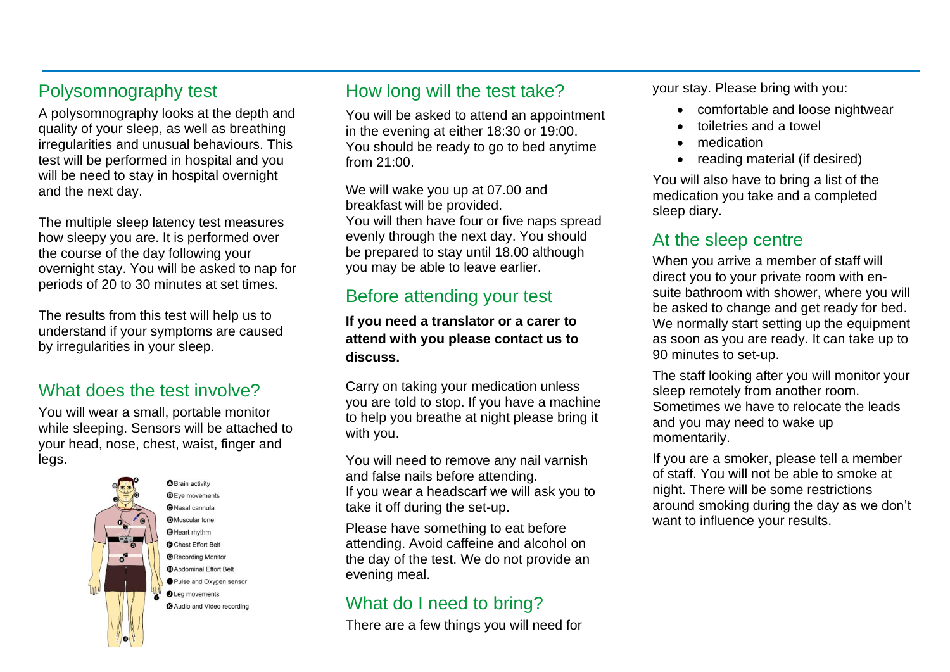## Polysomnography test

A polysomnography looks at the depth and quality of your sleep, as well as breathing irregularities and unusual behaviours. This test will be performed in hospital and you will be need to stay in hospital overnight and the next day.

The multiple sleep latency test measures how sleepy you are. It is performed over the course of the day following your overnight stay. You will be asked to nap for periods of 20 to 30 minutes at set times.

The results from this test will help us to understand if your symptoms are caused by irregularities in your sleep.

#### What does the test involve?

You will wear a small, portable monitor while sleeping. Sensors will be attached to your head, nose, chest, waist, finger and legs.



**Brain activity O** Eye movements ONasal cannula **D**Muscular tone **O** Heart rhythm **O** Chest Effort Belt **@Recording Monitor O** Abdominal Effort Belt **O** Pulse and Oxygen sensor **OLeg** movements **3** Audio and Video recording

#### How long will the test take?

You will be asked to attend an appointment in the evening at either 18:30 or 19:00. You should be ready to go to bed anytime from 21:00.

We will wake you up at 07.00 and breakfast will be provided. You will then have four or five naps spread evenly through the next day. You should be prepared to stay until 18.00 although you may be able to leave earlier.

## Before attending your test

#### **If you need a translator or a carer to attend with you please contact us to discuss.**

Carry on taking your medication unless you are told to stop. If you have a machine to help you breathe at night please bring it with you.

You will need to remove any nail varnish and false nails before attending. If you wear a headscarf we will ask you to take it off during the set-up.

Please have something to eat before attending. Avoid caffeine and alcohol on the day of the test. We do not provide an evening meal.

## What do I need to bring?

There are a few things you will need for

your stay. Please bring with you:

- comfortable and loose nightwear
- toiletries and a towel
- medication
- reading material (if desired)

You will also have to bring a list of the medication you take and a completed sleep diary.

## At the sleep centre

When you arrive a member of staff will direct you to your private room with ensuite bathroom with shower, where you will be asked to change and get ready for bed. We normally start setting up the equipment as soon as you are ready. It can take up to 90 minutes to set-up.

The staff looking after you will monitor your sleep remotely from another room. Sometimes we have to relocate the leads and you may need to wake up momentarily.

If you are a smoker, please tell a member of staff. You will not be able to smoke at night. There will be some restrictions around smoking during the day as we don't want to influence your results.